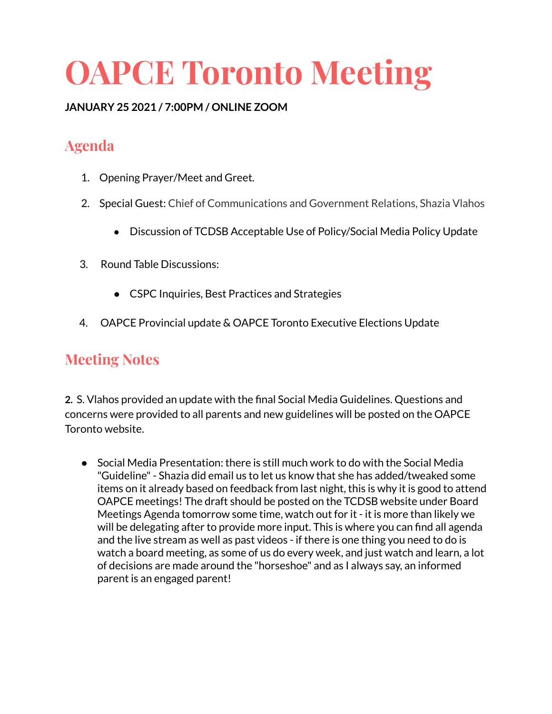# **OAPCE Toronto Meeting**

#### **JANUARY 25 2021 / 7:00PM / ONLINE ZOOM**

# **Agenda**

- 1. Opening Prayer/Meet and Greet.
- 2. Special Guest: Chief of Communications and Government Relations, Shazia Vlahos
	- Discussion of TCDSB Acceptable Use of Policy/Social Media Policy Update
- 3. Round Table Discussions:
	- CSPC Inquiries, Best Practices and Strategies
- 4. OAPCE Provincial update & OAPCE Toronto Executive Elections Update

## **Meeting Notes**

**2.** S. Vlahos provided an update with the final Social Media Guidelines. Questions and concerns were provided to all parents and new guidelines will be posted on the OAPCE Toronto website.

● Social Media Presentation: there is still much work to do with the Social Media "Guideline"- Shazia did email us to let us know that she has added/tweaked some items on it already based on feedback from last night, this is why it is good to attend OAPCE meetings! The draft should be posted on the TCDSB website under Board Meetings Agenda tomorrow some time, watch out for it - it is more than likely we will be delegating after to provide more input. This is where you can find all agenda and the live stream as well as past videos - if there is one thing you need to do is watch a board meeting, as some of us do every week, and just watch and learn, a lot of decisions are made around the "horseshoe" and as I always say, an informed parent is an engaged parent!